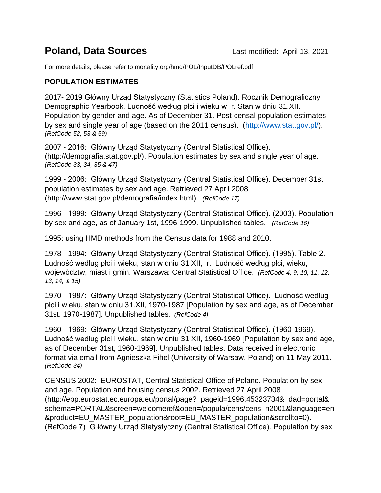## **Poland, Data Sources Last modified: April 13, 2021**

For more details, please refer to mortality.org/hmd/POL/InputDB/POLref.pdf

## **POPULATION ESTIMATES**

2017- 2019 Główny Urząd Statystyczny (Statistics Poland). Rocznik Demograficzny Demographic Yearbook. Ludność według płci i wieku w r. Stan w dniu 31.XII. Population by gender and age. As of December 31. Post-censal population estimates by sex and single year of age (based on the 2011 census). [\(http://www.stat.gov.pl/\)](http://www.stat.gov.pl/). *(RefCode 52, 53 & 59)*

2007 - 2016: Główny Urząd Statystyczny (Central Statistical Office). (http://demografia.stat.gov.pl/). Population estimates by sex and single year of age. *(RefCode 33, 34, 35 & 47)*

1999 - 2006: Główny Urząd Statystyczny (Central Statistical Office). December 31st population estimates by sex and age. Retrieved 27 April 2008 (http://www.stat.gov.pl/demografia/index.html). *(RefCode 17)* 

1996 - 1999: Główny Urząd Statystyczny (Central Statistical Office). (2003). Population by sex and age, as of January 1st, 1996-1999. Unpublished tables. *(RefCode 16)* 

1995: using HMD methods from the Census data for 1988 and 2010.

1978 - 1994: Główny Urząd Statystyczny (Central Statistical Office). (1995). Table 2. Ludność według płci i wieku, stan w dniu 31.XII, r. Ludność według płci, wieku, wojewòdztw, miast i gmin. Warszawa: Central Statistical Office. *(RefCode 4, 9, 10, 11, 12, 13, 14, & 15)* 

1970 - 1987: Główny Urząd Statystyczny (Central Statistical Office). Ludność według płci i wieku, stan w dniu 31.XII, 1970-1987 [Population by sex and age, as of December 31st, 1970-1987]. Unpublished tables. *(RefCode 4)*

1960 - 1969: Główny Urząd Statystyczny (Central Statistical Office). (1960-1969). Ludność według płci i wieku, stan w dniu 31.XII, 1960-1969 [Population by sex and age, as of December 31st, 1960-1969]. Unpublished tables. Data received in electronic format via email from Agnieszka Fihel (University of Warsaw, Poland) on 11 May 2011. *(RefCode 34)*

CENSUS 2002: EUROSTAT, Central Statistical Office of Poland. Population by sex and age. Population and housing census 2002. Retrieved 27 April 2008 (http://epp.eurostat.ec.europa.eu/portal/page?\_pageid=1996,45323734&\_dad=portal&\_ schema=PORTAL&screen=welcomeref&open=/popula/cens/cens\_n2001&language=en &product=EU\_MASTER\_population&root=EU\_MASTER\_population&scrollto=0). (RefCode 7) G łówny Urząd Statystyczny (Central Statistical Office). Population by sex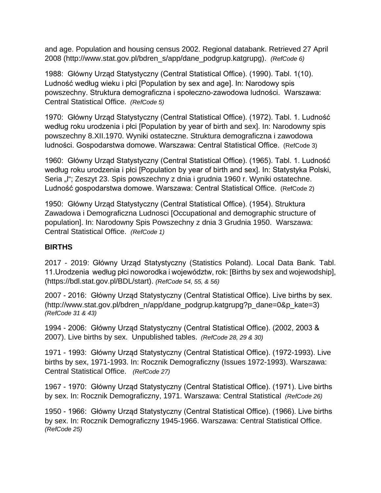and age. Population and housing census 2002. Regional databank. Retrieved 27 April 2008 (http://www.stat.gov.pl/bdren\_s/app/dane\_podgrup.katgrupg). *(RefCode 6)*

1988: Główny Urząd Statystyczny (Central Statistical Office). (1990). Tabl. 1(10). Ludność według wieku i płci [Population by sex and age]. In: Narodowy spis powszechny. Struktura demograficzna i społeczno-zawodowa ludności. Warszawa: Central Statistical Office. *(RefCode 5)* 

1970: Główny Urząd Statystyczny (Central Statistical Office). (1972). Tabl. 1. Ludność według roku urodzenia i płci [Population by year of birth and sex]. In: Narodowny spis powszechny 8.XII.1970. Wyniki ostateczne. Struktura demograficzna i zawodowa ludności. Gospodarstwa domowe. Warszawa: Central Statistical Office. (RefCode 3)

1960: Główny Urząd Statystyczny (Central Statistical Office). (1965). Tabl. 1. Ludność według roku urodzenia i płci [Population by year of birth and sex]. In: Statystyka Polski, Seria "I"; Zeszyt 23. Spis powszechny z dnia i grudnia 1960 r. Wyniki ostatechne. Ludność gospodarstwa domowe. Warszawa: Central Statistical Office. (RefCode 2)

1950: Główny Urząd Statystyczny (Central Statistical Office). (1954). Struktura Zawadowa i Demograficzna Ludnosci [Occupational and demographic structure of population]. In: Narodowny Spis Powszechny z dnia 3 Grudnia 1950. Warszawa: Central Statistical Office. *(RefCode 1)* 

## **BIRTHS**

2017 - 2019: Główny Urząd Statystyczny (Statistics Poland). Local Data Bank. Tabl. 11.Urodzenia według płci noworodka i województw, rok: [Births by sex and wojewodship], (https://bdl.stat.gov.pl/BDL/start). *(RefCode 54, 55, & 56)*

2007 - 2016: Główny Urząd Statystyczny (Central Statistical Office). Live births by sex. (http://www.stat.gov.pl/bdren\_n/app/dane\_podgrup.katgrupg?p\_dane=0&p\_kate=3) *(RefCode 31 & 43)* 

1994 - 2006: Główny Urząd Statystyczny (Central Statistical Office). (2002, 2003 & 2007). Live births by sex. Unpublished tables. *(RefCode 28, 29 & 30)* 

1971 - 1993: Główny Urząd Statystyczny (Central Statistical Office). (1972-1993). Live births by sex, 1971-1993. In: Rocznik Demograficzny (Issues 1972-1993). Warszawa: Central Statistical Office. *(RefCode 27)* 

1967 - 1970: Główny Urząd Statystyczny (Central Statistical Office). (1971). Live births by sex. In: Rocznik Demograficzny, 1971. Warszawa: Central Statistical *(RefCode 26)* 

1950 - 1966: Główny Urząd Statystyczny (Central Statistical Office). (1966). Live births by sex. In: Rocznik Demograficzny 1945-1966. Warszawa: Central Statistical Office. *(RefCode 25)*